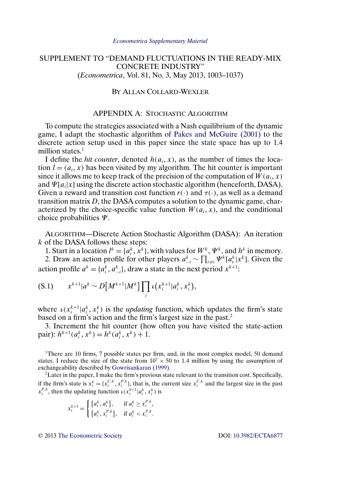# <span id="page-0-0"></span>SUPPLEMENT TO "DEMAND FLUCTUATIONS IN THE READY-MIX CONCRETE INDUSTRY" (*Econometrica*, Vol. 81, No. 3, May 2013, 1003–1037)

# BY ALLAN COLLARD-WEXLER

# APPENDIX A: STOCHASTIC ALGORITHM

To compute the strategies associated with a Nash equilibrium of the dynamic game, I adapt the stochastic algorithm of [Pakes and McGuire \(2001\)](#page-15-0) to the discrete action setup used in this paper since the state space has up to 1.4 million states.<sup>1</sup>

I define the *hit counter*, denoted  $h(a_i, x)$ , as the number of times the location  $l = (a_i, x)$  has been visited by my algorithm. The hit counter is important since it allows me to keep track of the precision of the computation of  $W(a_i, x)$ and  $\Psi[a_i|x]$  using the discrete action stochastic algorithm (henceforth, DASA). Given a reward and transition cost function  $r(\cdot)$  and  $\tau(\cdot)$ , as well as a demand transition matrix D, the DASA computes a solution to the dynamic game, characterized by the choice-specific value function  $W(a_i, x)$ , and the conditional choice probabilities  $\Psi$ .

ALGORITHM—Discrete Action Stochastic Algorithm (DASA): An iteration k of the DASA follows these steps:

1. Start in a location  $l^k = \{a_i^k, x^k\}$ , with values for  $W^k$ ,  $\Psi^k$ , and  $h^k$  in memory. 2. Draw an action profile for other players  $a_{-i}^k \sim \prod_{r \neq i} \Psi^k[a_r^k] x^k$ ]. Given the action profile  $a^k = \{a_i^k, a_{-i}^k\}$ , draw a state in the next period  $x^{k+1}$ :

$$
(S.1) \t x^{k+1} |a^k \sim D[M^{k+1}|M^k] \prod_i \iota(x_i^{k+1} |a_i^k, x_i^k),
$$

where  $\iota(x_i^{k+1} | a_i^k, x_i^k)$  is the *updating* function, which updates the firm's state based on a firm's action and the firm's largest size in the past.2

3. Increment the hit counter (how often you have visited the state-action pair):  $h^{k+1}(a_i^k, x^k) = h^k(a_i^k, x^k) + 1.$ 

<sup>1</sup>There are 10 firms, 7 possible states per firm, and, in the most complex model, 50 demand states. I reduce the size of the state from  $10^7 \times 50$  to 1.4 million by using the assumption of exchangeability described by [Gowrisankaran \(1999\).](#page-15-0)

<sup>2</sup>Later in the paper, I make the firm's previous state relevant to the transition cost. Specifically, if the firm's state is  $x_i^k = \{x_i^{C,k}, x_i^{P,k}\}$ , that is, the current size  $x_i^{C,k}$  and the largest size in the past  $x_i^{P,k}$ , then the updating function  $\iota(x_i^{k+1} | a_i^k, x_i^k)$  is

$$
x_i^{k+1} = \begin{cases} \{a_i^k, a_i^k\}, & \text{if } a_i^k \ge x_i^{P,k},\\ \{a_i^k, x_i^{P,k}\}, & \text{if } a_i^k < x_i^{P,k}. \end{cases}
$$

© 2013 [The Econometric Society](http://www.econometricsociety.org/) DOI: [10.3982/ECTA6877](http://dx.doi.org/10.3982/ECTA6877)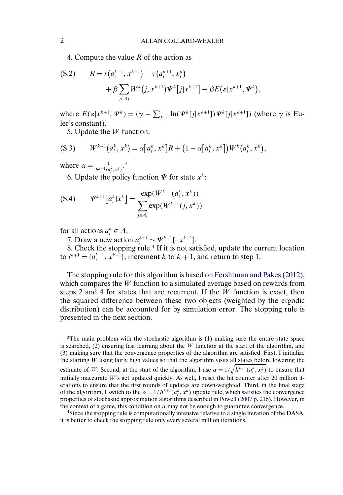<span id="page-1-0"></span>4. Compute the value R of the action as

$$
\begin{aligned} \text{(S.2)} \qquad R &= r\big(a_i^{k+1}, x^{k+1}\big) - \tau\big(a_i^{k+1}, x_i^k\big) \\ &+ \beta \sum_{j \in A_i} W^k\big(j, x^{k+1}\big) \Psi^k\big[j|x^{k+1}\big] + \beta E\big(\varepsilon | x^{k+1}, \Psi^k\big), \end{aligned}
$$

where  $E(\varepsilon|x^{k+1}, \Psi^k) = (\gamma - \sum_{j \in A} \ln(\Psi^k[j|x^{k+1}])\Psi^k[j|x^{k+1}])$  (where  $\gamma$  is Euler's constant).

5. Update the  $W$  function:

$$
(S.3) \t W^{k+1}(a_i^k, x^k) = \alpha [a_i^k, x^k] R + (1 - \alpha [a_i^k, x^k]) W^k(a_i^k, x^k),
$$

where  $\alpha = \frac{1}{h^{k+1}(a_i^k, x^k)}$ .<sup>3</sup>

6. Update the policy function  $\Psi$  for state  $x^k$ :

$$
\text{(S.4)} \qquad \Psi^{k+1}\big[a_i^k | x^k\big] = \frac{\exp(W^{k+1}(a_i^k, x^k))}{\sum_{j \in A_i} \exp(W^{k+1}(j, x^k))}
$$

for all actions  $a_i^k \in A$ .

7. Draw a new action  $a_i^{k+1} \sim \Psi^{k+1}[\cdot | x^{k+1}].$ 

8. Check the stopping rule.<sup>4</sup> If it is not satisfied, update the current location to  $l^{k+1} = \{a_i^{k+1}, x^{k+1}\},$  increment k to  $k+1$ , and return to step 1.

The stopping rule for this algorithm is based on [Fershtman and Pakes \(2012\),](#page-15-0) which compares the W function to a simulated average based on rewards from steps 2 and 4 for states that are recurrent. If the  $W$  function is exact, then the squared difference between these two objects (weighted by the ergodic distribution) can be accounted for by simulation error. The stopping rule is presented in the next section.

 $3$ The main problem with the stochastic algorithm is (1) making sure the entire state space is searched,  $(2)$  ensuring fast learning about the W function at the start of the algorithm, and (3) making sure that the convergence properties of the algorithm are satisfied. First, I initialize the starting  $W$  using fairly high values so that the algorithm visits all states before lowering the estimate of W. Second, at the start of the algorithm, I use  $\alpha = 1/\sqrt{h^{k+1}(a_i^k, x^k)}$  to ensure that initially inaccurate  $W$ 's get updated quickly. As well, I reset the hit counter after 20 million iterations to ensure that the first rounds of updates are down-weighted. Third, in the final stage of the algorithm, I switch to the  $\alpha = 1/h^{k+1}(a_i^k, x^k)$  update rule, which satisfies the convergence properties of stochastic approximation algorithms described in [Powell](#page-16-0) [\(2007](#page-16-0) p. 216). However, in the context of a game, this condition on  $\alpha$  may not be enough to guarantee convergence.

4Since the stopping rule is computationally intensive relative to a single iteration of the DASA, it is better to check the stopping rule only every several million iterations.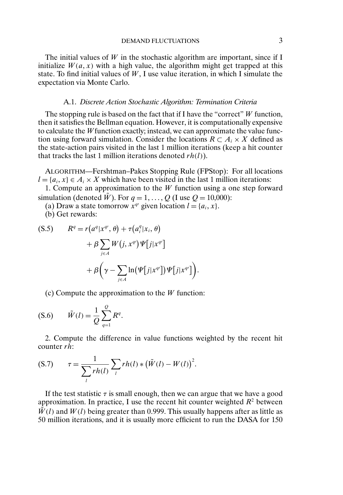The initial values of  $W$  in the stochastic algorithm are important, since if I initialize  $W(a, x)$  with a high value, the algorithm might get trapped at this state. To find initial values of  $W$ , I use value iteration, in which I simulate the expectation via Monte Carlo.

### A.1. *Discrete Action Stochastic Algorithm: Termination Criteria*

The stopping rule is based on the fact that if I have the "correct"  $W$  function, then it satisfies the Bellman equation. However, it is computationally expensive to calculate the W function exactly; instead, we can approximate the value function using forward simulation. Consider the locations  $R \subset A_i \times X$  defined as the state-action pairs visited in the last 1 million iterations (keep a hit counter that tracks the last 1 million iterations denoted  $rh(l)$ ).

ALGORITHM—Fershtman–Pakes Stopping Rule (FPStop): For all locations  $l = \{a_i, x\} \in A_i \times X$  which have been visited in the last 1 million iterations:

1. Compute an approximation to the  $W$  function using a one step forward simulation (denoted  $\tilde{W}$ ). For  $q = 1, ..., Q$  (I use  $Q = 10,000$ ):

(a) Draw a state tomorrow  $x^{q}$  given location  $l = \{a_i, x\}.$ 

(b) Get rewards:

$$
(S.5) \t Rq = r(aq|xq, \theta) + r(aqi|xi, \theta) + \beta \sum_{j \in A} W(j, xq) \Psi[j|xq]+ \beta \left( \gamma - \sum_{j \in A} \ln(\Psi[j|xq]) \Psi[j|xq] \right).
$$

(c) Compute the approximation to the  $W$  function:

$$
(S.6) \qquad \tilde{W}(l) = \frac{1}{Q} \sum_{q=1}^{Q} R^q.
$$

2. Compute the difference in value functions weighted by the recent hit counter  $r\bar{h}$ :

$$
(S.7) \t\tau = \frac{1}{\sum_{l} r h(l)} \sum_{l} r h(l) * (\tilde{W}(l) - W(l))^{2}.
$$

If the test statistic  $\tau$  is small enough, then we can argue that we have a good approximation. In practice, I use the recent hit counter weighted  $R^2$  between  $\tilde{W}(l)$  and  $W(l)$  being greater than 0.999. This usually happens after as little as 50 million iterations, and it is usually more efficient to run the DASA for 150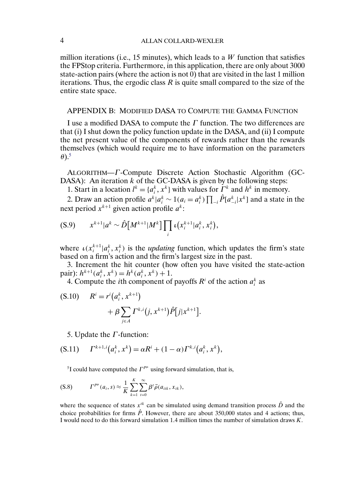million iterations (i.e., 15 minutes), which leads to a  $W$  function that satisfies the FPStop criteria. Furthermore, in this application, there are only about 3000 state-action pairs (where the action is not 0) that are visited in the last 1 million iterations. Thus, the ergodic class  $R$  is quite small compared to the size of the entire state space.

# APPENDIX B: MODIFIED DASA TO COMPUTE THE GAMMA FUNCTION

I use a modified DASA to compute the  $\Gamma$  function. The two differences are that (i) I shut down the policy function update in the DASA, and (ii) I compute the net present value of the components of rewards rather than the rewards themselves (which would require me to have information on the parameters  $\theta$ ).<sup>5</sup>

ALGORITHM—Γ -Compute Discrete Action Stochastic Algorithm (GC-DASA): An iteration  $k$  of the GC-DASA is given by the following steps:

1. Start in a location  $l^k = \{a_i^k, x^k\}$  with values for  $\Gamma^k$  and  $h^k$  in memory.

2. Draw an action profile  $a^k | a_i^k \sim 1$  $(a_i = a_i^k) \prod_{-i} \hat{P}[a_{-i}^k | x^k]$  and a state in the next period  $x^{k+1}$  given action profile  $a^k$ :

$$
(S.9) \t x^{k+1} |a^k \sim \hat{D}[M^{k+1}|M^k] \prod_i \iota(x_i^{k+1} |a_i^k, x_i^k),
$$

where  $\iota(x_i^{k+1} | a_i^k, x_i^k)$  is the *updating* function, which updates the firm's state based on a firm's action and the firm's largest size in the past.

3. Increment the hit counter (how often you have visited the state-action pair):  $h^{k+1}(a_i^k, x^k) = h^k(a_i^k, x^k) + 1.$ 

4. Compute the *i*th component of payoffs  $R<sup>i</sup>$  of the action  $a_i^k$  as

$$
\begin{aligned} \text{(S.10)} \qquad R^i &= r^i \big( a_i^k \, , \, x^{k+1} \big) \\ &+ \beta \sum_{j \in A} \Gamma^{k,i} \big( j \, , \, x^{k+1} \big) \hat{P} \big[ j | x^{k+1} \big]. \end{aligned}
$$

5. Update the  $\Gamma$ -function:

$$
(S.11) \t\Gamma^{k+1,i}(a_i^k, x^k) = \alpha R^i + (1 - \alpha) \Gamma^{k,i}(a_i^k, x^k),
$$

<sup>5</sup>I could have computed the  $\Gamma^{p\mu}$  using forward simulation, that is,

$$
(S.8) \t\t\t \t\t\t \t\t\t T^{p^{\mu}}(a_i,s) \approx \frac{1}{K} \sum_{k=1}^{K} \sum_{t=0}^{\infty} \beta^t \vec{\rho}(a_{itk},x_{tk}),
$$

where the sequence of states  $x^{tk}$  can be simulated using demand transition process  $\hat{D}$  and the choice probabilities for firms  $\hat{P}$ . However, there are about 350,000 states and 4 actions; thus, I would need to do this forward simulation 14 million times the number of simulation draws K.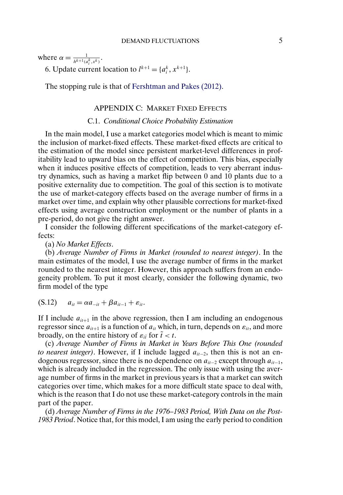<span id="page-4-0"></span>where  $\alpha = \frac{1}{h^{k+1}(a_i^k, x^k)}$ .

6. Update current location to  $l^{k+1} = \{a_i^k, x^{k+1}\}.$ 

The stopping rule is that of [Fershtman and Pakes \(2012\).](#page-15-0)

# APPENDIX C: MARKET FIXED EFFECTS

# C.1. *Conditional Choice Probability Estimation*

In the main model, I use a market categories model which is meant to mimic the inclusion of market-fixed effects. These market-fixed effects are critical to the estimation of the model since persistent market-level differences in profitability lead to upward bias on the effect of competition. This bias, especially when it induces positive effects of competition, leads to very aberrant industry dynamics, such as having a market flip between 0 and 10 plants due to a positive externality due to competition. The goal of this section is to motivate the use of market-category effects based on the average number of firms in a market over time, and explain why other plausible corrections for market-fixed effects using average construction employment or the number of plants in a pre-period, do not give the right answer.

I consider the following different specifications of the market-category effects:

(a) *No Market Effects*.

(b) *Average Number of Firms in Market (rounded to nearest integer)*. In the main estimates of the model, I use the average number of firms in the market rounded to the nearest integer. However, this approach suffers from an endogeneity problem. To put it most clearly, consider the following dynamic, two firm model of the type

 $(a_i = \alpha a_{-it} + \beta a_{it-1} + \varepsilon_{it}).$ 

If I include  $a_{it+1}$  in the above regression, then I am including an endogenous regressor since  $a_{it+1}$  is a function of  $a_{it}$  which, in turn, depends on  $\varepsilon_{it}$ , and more broadly, on the entire history of  $\varepsilon_{i\tilde{i}}$  for  $\tilde{t} < t$ .

(c) *Average Number of Firms in Market in Years Before This One (rounded to nearest integer*). However, if I include lagged  $a_{it-2}$ , then this is not an endogenous regressor, since there is no dependence on  $a_{it-2}$  except through  $a_{it-1}$ , which is already included in the regression. The only issue with using the average number of firms in the market in previous years is that a market can switch categories over time, which makes for a more difficult state space to deal with, which is the reason that I do not use these market-category controls in the main part of the paper.

(d) *Average Number of Firms in the 1976–1983 Period, With Data on the Post-1983 Period*. Notice that, for this model, I am using the early period to condition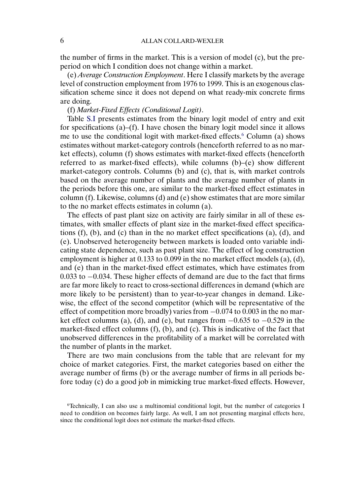the number of firms in the market. This is a version of model (c), but the preperiod on which I condition does not change within a market.

(e) *Average Construction Employment*. Here I classify markets by the average level of construction employment from 1976 to 1999. This is an exogenous classification scheme since it does not depend on what ready-mix concrete firms are doing.

# (f) *Market-Fixed Effects (Conditional Logit)*.

Table [S.I](#page-6-0) presents estimates from the binary logit model of entry and exit for specifications (a)–(f). I have chosen the binary logit model since it allows me to use the conditional logit with market-fixed effects.<sup>6</sup> Column (a) shows estimates without market-category controls (henceforth referred to as no market effects), column (f) shows estimates with market-fixed effects (henceforth referred to as market-fixed effects), while columns (b)–(e) show different market-category controls. Columns (b) and (c), that is, with market controls based on the average number of plants and the average number of plants in the periods before this one, are similar to the market-fixed effect estimates in column (f). Likewise, columns (d) and (e) show estimates that are more similar to the no market effects estimates in column (a).

The effects of past plant size on activity are fairly similar in all of these estimates, with smaller effects of plant size in the market-fixed effect specifications  $(f)$ ,  $(b)$ , and  $(c)$  than in the no market effect specifications  $(a)$ ,  $(d)$ , and (e). Unobserved heterogeneity between markets is loaded onto variable indicating state dependence, such as past plant size. The effect of log construction employment is higher at  $0.133$  to  $0.099$  in the no market effect models (a), (d), and (e) than in the market-fixed effect estimates, which have estimates from 0.033 to −0.034. These higher effects of demand are due to the fact that firms are far more likely to react to cross-sectional differences in demand (which are more likely to be persistent) than to year-to-year changes in demand. Likewise, the effect of the second competitor (which will be representative of the effect of competition more broadly) varies from  $-0.074$  to 0.003 in the no market effect columns (a), (d), and (e), but ranges from  $-0.635$  to  $-0.529$  in the market-fixed effect columns (f), (b), and (c). This is indicative of the fact that unobserved differences in the profitability of a market will be correlated with the number of plants in the market.

There are two main conclusions from the table that are relevant for my choice of market categories. First, the market categories based on either the average number of firms (b) or the average number of firms in all periods before today (c) do a good job in mimicking true market-fixed effects. However,

<sup>6</sup>Technically, I can also use a multinomial conditional logit, but the number of categories I need to condition on becomes fairly large. As well, I am not presenting marginal effects here, since the conditional logit does not estimate the market-fixed effects.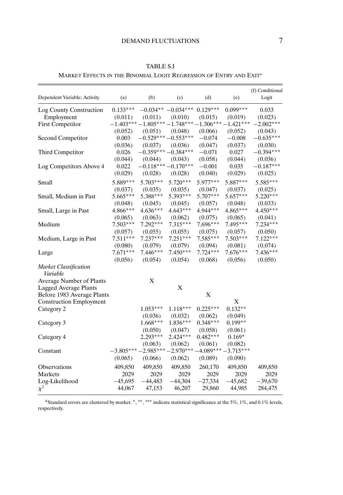# DEMAND FLUCTUATIONS 7

<span id="page-6-0"></span>MARKET EFFECTS IN THE BINOMIAL LOGIT REGRESSION OF ENTRY AND EXITa

| Dependent Variable: Activity             | (a)        | (b)                  | (c)                                             | (d)        | (e)        | (f) Conditional<br>Logit |
|------------------------------------------|------------|----------------------|-------------------------------------------------|------------|------------|--------------------------|
|                                          |            |                      |                                                 |            |            |                          |
| Log County Construction                  | $0.133***$ |                      | $-0.034***$ $-0.034***$                         | $0.129***$ | $0.099***$ | 0.033                    |
| Employment                               | (0.011)    | (0.011)              | (0.010)                                         | (0.015)    | (0.019)    | (0.023)                  |
| <b>First Competitor</b>                  |            |                      | $-1.403***-1.805***-1.748***-1.306***-1.421***$ |            |            | $-2.002***$              |
|                                          | (0.052)    | (0.051)              | (0.048)                                         | (0.066)    | (0.052)    | (0.043)                  |
| Second Competitor                        | 0.003      |                      | $-0.529***-0.553***$                            | $-0.074$   | $-0.008$   | $-0.635***$              |
|                                          | (0.036)    | (0.037)              | (0.036)                                         | (0.047)    | (0.037)    | (0.030)                  |
| Third Competitor                         | 0.026      | $-0.359***-0.384***$ |                                                 | $-0.071$   | 0.027      | $-0.394***$              |
|                                          | (0.044)    | (0.044)              | (0.043)                                         | (0.058)    | (0.044)    | (0.036)                  |
| Log Competitors Above 4                  | 0.022      |                      | $-0.118***-0.170***$                            | $-0.001$   | 0.035      | $-0.187***$              |
|                                          | (0.029)    | (0.028)              | (0.028)                                         | (0.040)    | (0.029)    | (0.025)                  |
| Small                                    | 5.889***   | $5.703***$           | $5.720***$                                      | $5.977***$ | 5.887***   | $5.585***$               |
|                                          | (0.037)    | (0.035)              | (0.035)                                         | (0.047)    | (0.037)    | (0.025)                  |
| Small, Medium in Past                    | $5.665***$ | 5.388***             | 5.393***                                        | 5.707***   | $5.657***$ | 5.220***                 |
|                                          | (0.048)    | (0.045)              | (0.045)                                         | (0.057)    | (0.048)    | (0.033)                  |
| Small, Large in Past                     | $4.866***$ | $4.636***$           | $4.643***$                                      | 4.944***   | 4.865***   | $4.450***$               |
|                                          | (0.065)    | (0.063)              | (0.062)                                         | (0.075)    | (0.065)    | (0.041)                  |
| Medium                                   | $7.503***$ | $7.292***$           | $7.315***$                                      | 7.696***   | 7.495***   | $7.234***$               |
|                                          | (0.057)    | (0.055)              | (0.055)                                         | (0.075)    | (0.057)    | (0.050)                  |
| Medium, Large in Past                    | $7.511***$ | $7.237***$           | $7.251***$                                      | 7.585***   | $7.503***$ | $7.122***$               |
|                                          | (0.080)    | (0.079)              | (0.079)                                         | (0.094)    | (0.081)    | (0.074)                  |
| Large                                    | $7.671***$ | $7.446***$           | $7.450***$                                      | $7.724***$ | $7.676***$ | $7.436***$               |
|                                          | (0.056)    | (0.054)              | (0.054)                                         | (0.068)    | (0.056)    | (0.050)                  |
| <b>Market Classification</b><br>Variable |            |                      |                                                 |            |            |                          |
| Average Number of Plants                 |            | X                    |                                                 |            |            |                          |
| <b>Lagged Average Plants</b>             |            |                      | X                                               |            |            |                          |
| Before 1983 Average Plants               |            |                      |                                                 | X          |            |                          |
| <b>Construction Employment</b>           |            |                      |                                                 |            | X          |                          |
| Category 2                               |            | $1.053***$           | $1.118***$                                      | $0.225***$ | $0.132**$  |                          |
|                                          |            | (0.036)              | (0.032)                                         | (0.062)    | (0.049)    |                          |
| Category 3                               |            | $1.668***$           | $1.836***$                                      | $0.348***$ | $0.199**$  |                          |
|                                          |            | (0.050)              | (0.047)                                         | (0.058)    | (0.061)    |                          |
| Category 4                               |            | $2.293***$           | $2.424***$                                      | $0.482***$ | $0.169*$   |                          |
|                                          |            | (0.063)              | (0.062)                                         | (0.061)    | (0.082)    |                          |
| Constant                                 |            |                      | $-3.805***-2.985***-2.970***-4.089***-3.715***$ |            |            |                          |
|                                          | (0.065)    | (0.066)              | (0.062)                                         | (0.089)    | (0.090)    |                          |
| Observations                             | 409,850    | 409,850              | 409,850                                         | 260,170    | 409,850    | 409,850                  |
| Markets                                  | 2029       | 2029                 | 2029                                            | 2029       | 2029       | 2029                     |
| Log-Likelihood                           | $-45,695$  | $-44,483$            | $-44,304$                                       | $-27,334$  | $-45,682$  | $-39,670$                |
| $\chi^2$                                 | 44,067     | 47,153               | 46,207                                          | 29,860     | 44,985     | 284,475                  |

aStandard errors are clustered by market. <sup>∗</sup>, ∗∗, ∗∗∗ indicate statistical significance at the 5%, 1%, and 0.1% levels, respectively.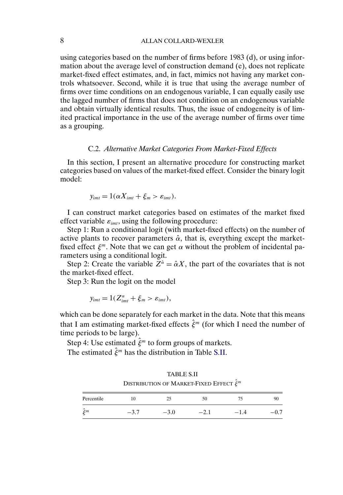using categories based on the number of firms before 1983 (d), or using information about the average level of construction demand (e), does not replicate market-fixed effect estimates, and, in fact, mimics not having any market controls whatsoever. Second, while it is true that using the average number of firms over time conditions on an endogenous variable, I can equally easily use the lagged number of firms that does not condition on an endogenous variable and obtain virtually identical results. Thus, the issue of endogeneity is of limited practical importance in the use of the average number of firms over time as a grouping.

# C.2. *Alternative Market Categories From Market-Fixed Effects*

In this section, I present an alternative procedure for constructing market categories based on values of the market-fixed effect. Consider the binary logit model:

$$
y_{imt}=1(\alpha X_{imt}+\xi_m>\varepsilon_{imt}).
$$

I can construct market categories based on estimates of the market fixed effect variable  $\varepsilon_{imt}$ , using the following procedure:

Step 1: Run a conditional logit (with market-fixed effects) on the number of active plants to recover parameters  $\hat{\alpha}$ , that is, everything except the marketfixed effect  $\xi^m$ . Note that we can get  $\alpha$  without the problem of incidental parameters using a conditional logit.

Step 2: Create the variable  $\overline{Z}^{\hat{\alpha}} = \hat{\alpha} X$ , the part of the covariates that is not the market-fixed effect.

Step 3: Run the logit on the model

$$
y_{imt}=1(Z_{imt}^{\alpha}+\xi_m>\varepsilon_{imt}),
$$

which can be done separately for each market in the data. Note that this means that I am estimating market-fixed effects  $\hat{\xi}^m$  (for which I need the number of time periods to be large).

Step 4: Use estimated  $\hat{\xi}^m$  to form groups of markets.

The estimated  $\hat{\xi}^m$  has the distribution in Table S.II.

TABLE S.II DISTRIBUTION OF MARKET-FIXED EFFECT  $\hat{\xi}^m$ Percentile 10 25 50 75 90  $\hat{\xi}^m$  -3.7 -3.0 -2.1 -1.4 -0.7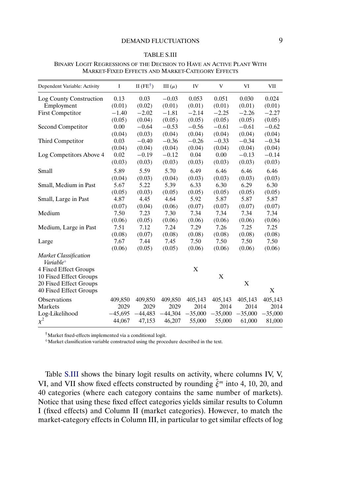#### TABLE S.III

| Dependent Variable: Activity                                 | I         | II ( $FE^{\dagger}$ ) | III $(\mu)$ | IV        | V         | VI        | VII       |
|--------------------------------------------------------------|-----------|-----------------------|-------------|-----------|-----------|-----------|-----------|
| Log County Construction                                      | 0.13      | 0.03                  | $-0.03$     | 0.053     | 0.051     | 0.030     | 0.024     |
| Employment                                                   | (0.01)    | (0.02)                | (0.01)      | (0.01)    | (0.01)    | (0.01)    | (0.01)    |
| <b>First Competitor</b>                                      | $-1.40$   | $-2.02$               | $-1.81$     | $-2.14$   | $-2.25$   | $-2.26$   | $-2.27$   |
|                                                              | (0.05)    | (0.04)                | (0.05)      | (0.05)    | (0.05)    | (0.05)    | (0.05)    |
| Second Competitor                                            | 0.00      | $-0.64$               | $-0.53$     | $-0.56$   | $-0.61$   | $-0.61$   | $-0.62$   |
|                                                              | (0.04)    | (0.03)                | (0.04)      | (0.04)    | (0.04)    | (0.04)    | (0.04)    |
| Third Competitor                                             | 0.03      | $-0.40$               | $-0.36$     | $-0.26$   | $-0.33$   | $-0.34$   | $-0.34$   |
|                                                              | (0.04)    | (0.04)                | (0.04)      | (0.04)    | (0.04)    | (0.04)    | (0.04)    |
| Log Competitors Above 4                                      | 0.02      | $-0.19$               | $-0.12$     | 0.04      | 0.00      | $-0.13$   | $-0.14$   |
|                                                              | (0.03)    | (0.03)                | (0.03)      | (0.03)    | (0.03)    | (0.03)    | (0.03)    |
| Small                                                        | 5.89      | 5.59                  | 5.70        | 6.49      | 6.46      | 6.46      | 6.46      |
|                                                              | (0.04)    | (0.03)                | (0.04)      | (0.03)    | (0.03)    | (0.03)    | (0.03)    |
| Small, Medium in Past                                        | 5.67      | 5.22                  | 5.39        | 6.33      | 6.30      | 6.29      | 6.30      |
|                                                              | (0.05)    | (0.03)                | (0.05)      | (0.05)    | (0.05)    | (0.05)    | (0.05)    |
| Small, Large in Past                                         | 4.87      | 4.45                  | 4.64        | 5.92      | 5.87      | 5.87      | 5.87      |
|                                                              | (0.07)    | (0.04)                | (0.06)      | (0.07)    | (0.07)    | (0.07)    | (0.07)    |
| Medium                                                       | 7.50      | 7.23                  | 7.30        | 7.34      | 7.34      | 7.34      | 7.34      |
|                                                              | (0.06)    | (0.05)                | (0.06)      | (0.06)    | (0.06)    | (0.06)    | (0.06)    |
| Medium, Large in Past                                        | 7.51      | 7.12                  | 7.24        | 7.29      | 7.26      | 7.25      | 7.25      |
|                                                              | (0.08)    | (0.07)                | (0.08)      | (0.08)    | (0.08)    | (0.08)    | (0.08)    |
| Large                                                        | 7.67      | 7.44                  | 7.45        | 7.50      | 7.50      | 7.50      | 7.50      |
|                                                              | (0.06)    | (0.05)                | (0.05)      | (0.06)    | (0.06)    | (0.06)    | (0.06)    |
| <b>Market Classification</b><br><i>Variable</i> <sup>®</sup> |           |                       |             |           |           |           |           |
| 4 Fixed Effect Groups                                        |           |                       |             | X         |           |           |           |
| 10 Fixed Effect Groups                                       |           |                       |             |           | X         |           |           |
| 20 Fixed Effect Groups                                       |           |                       |             |           |           | X         |           |
| 40 Fixed Effect Groups                                       |           |                       |             |           |           |           | X         |
| <b>Observations</b>                                          | 409,850   | 409,850               | 409,850     | 405,143   | 405,143   | 405,143   | 405,143   |
| Markets                                                      | 2029      | 2029                  | 2029        | 2014      | 2014      | 2014      | 2014      |
| Log-Likelihood                                               | $-45,695$ | $-44,483$             | $-44,304$   | $-35,000$ | $-35,000$ | $-35,000$ | $-35,000$ |
| $\chi^2$                                                     | 44,067    | 47,153                | 46,207      | 55,000    | 55,000    | 61,000    | 81,000    |

BINARY LOGIT REGRESSIONS OF THE DECISION TO HAVE AN ACTIVE PLANT WITH MARKET-FIXED EFFECTS AND MARKET-CATEGORY EFFECTS

†Market fixed-effects implemented via a conditional logit.

Market classification variable constructed using the procedure described in the text.

Table S.III shows the binary logit results on activity, where columns IV, V, VI, and VII show fixed effects constructed by rounding  $\hat{\xi}^m$  into 4, 10, 20, and 40 categories (where each category contains the same number of markets). Notice that using these fixed effect categories yields similar results to Column I (fixed effects) and Column II (market categories). However, to match the market-category effects in Column III, in particular to get similar effects of log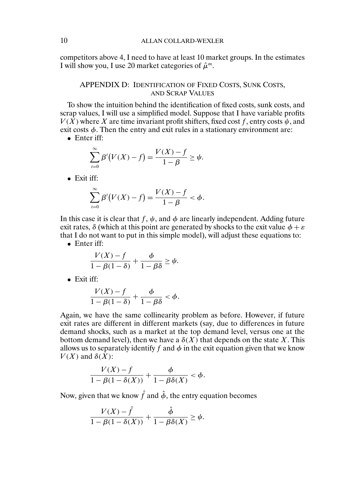competitors above 4, I need to have at least 10 market groups. In the estimates I will show you, I use 20 market categories of  $\hat{\mu}^m$ .

# APPENDIX D: IDENTIFICATION OF FIXED COSTS, SUNK COSTS, AND SCRAP VALUES

To show the intuition behind the identification of fixed costs, sunk costs, and scrap values, I will use a simplified model. Suppose that I have variable profits  $V(X)$  where X are time invariant profit shifters, fixed cost f, entry costs  $\psi$ , and exit costs  $\phi$ . Then the entry and exit rules in a stationary environment are:

• Enter iff:

$$
\sum_{t=0}^{\infty} \beta^{t} \big( V(X) - f \big) = \frac{V(X) - f}{1 - \beta} \ge \psi.
$$

• Exit iff:

$$
\sum_{t=0}^{\infty} \beta^{t} \big( V(X) - f \big) = \frac{V(X) - f}{1 - \beta} < \phi.
$$

In this case it is clear that f,  $\psi$ , and  $\phi$  are linearly independent. Adding future exit rates,  $\delta$  (which at this point are generated by shocks to the exit value  $\phi + \varepsilon$ that I do not want to put in this simple model), will adjust these equations to:

• Enter iff:

$$
\frac{V(X) - f}{1 - \beta(1 - \delta)} + \frac{\phi}{1 - \beta\delta} \ge \psi.
$$

• Exit iff:

$$
\frac{V(X)-f}{1-\beta(1-\delta)}+\frac{\phi}{1-\beta\delta}<\phi.
$$

Again, we have the same collinearity problem as before. However, if future exit rates are different in different markets (say, due to differences in future demand shocks, such as a market at the top demand level, versus one at the bottom demand level), then we have a  $\delta(X)$  that depends on the state X. This allows us to separately identify f and  $\phi$  in the exit equation given that we know  $V(X)$  and  $\delta(\overline{X})$ :

$$
\frac{V(X) - f}{1 - \beta(1 - \delta(X))} + \frac{\phi}{1 - \beta\delta(X)} < \phi.
$$

Now, given that we know  $\hat{f}$  and  $\hat{\phi}$ , the entry equation becomes

$$
\frac{V(X) - \hat{f}}{1 - \beta(1 - \delta(X))} + \frac{\hat{\phi}}{1 - \beta\delta(X)} \ge \psi.
$$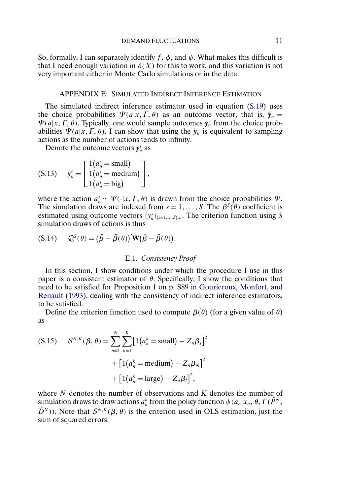<span id="page-10-0"></span>So, formally, I can separately identify f,  $\phi$ , and  $\psi$ . What makes this difficult is that I need enough variation in  $\delta(X)$  for this to work, and this variation is not very important either in Monte Carlo simulations or in the data.

### APPENDIX E: SIMULATED INDIRECT INFERENCE ESTIMATION

The simulated indirect inference estimator used in equation [\(S.19\)](#page-12-0) uses the choice probabilities  $\Psi(a|x, \Gamma, \theta)$  as an outcome vector, that is,  $\tilde{\mathbf{y}}_n =$  $\Psi(a|x, \Gamma, \theta)$ . Typically, one would sample outcomes  $y_n$  from the choice probabilities  $\Psi(a|x, \Gamma, \theta)$ . I can show that using the  $\tilde{\mathbf{y}}_n$  is equivalent to sampling actions as the number of actions tends to infinity.

Denote the outcome vectors  $y_n^s$  as

$$
\text{(S.13)} \quad \mathbf{y}_n^s = \begin{bmatrix} 1(a_n^s = \text{small}) \\ 1(a_n^s = \text{medium}) \\ 1(a_n^s = \text{big}) \end{bmatrix},
$$

where the action  $a_n^s \sim \Psi(\cdot | x, \Gamma, \theta)$  is drawn from the choice probabilities  $\Psi$ . The simulation draws are indexed from  $s = 1, \dots, S$ . The  $\beta^{S}(\theta)$  coefficient is estimated using outcome vectors  $\{y_n^s\}_{s=1,\dots,S}$ , The criterion function using S simulation draws of actions is thus

$$
(S.14) \qquad Q^S(\theta) = (\hat{\beta} - \tilde{\beta}(\theta))'\mathbf{W}(\hat{\beta} - \tilde{\beta}(\theta)).
$$

## E.1. *Consistency Proof*

In this section, I show conditions under which the procedure I use in this paper is a consistent estimator of  $\theta$ . Specifically, I show the conditions that need to be satisfied for Proposition 1 on p. S89 in [Gourieroux, Monfort, and](#page-15-0) [Renault \(1993\),](#page-15-0) dealing with the consistency of indirect inference estimators, to be satisfied.

Define the criterion function used to compute  $\beta(\theta)$  (for a given value of  $\theta$ ) as

( S.15) 
$$
\mathcal{S}^{N,K}(\beta, \theta) = \sum_{n=1}^{N} \sum_{k=1}^{K} [1(a_n^k = \text{small}) - Z_n \beta_s]^2 + [1(a_n^k = \text{medium}) - Z_n \beta_m]^2 + [1(a_n^k = \text{large}) - Z_n \beta_l]^2,
$$

where  $N$  denotes the number of observations and  $K$  denotes the number of simulation draws to draw actions  $a_n^k$  from the policy function  $\psi(a_n|x_n, \theta, \Gamma(\hat{P}^N,$  $\hat{D}^{N}$ )). Note that  $\mathcal{S}^{N,K}(\beta,\theta)$  is the criterion used in OLS estimation, just the sum of squared errors.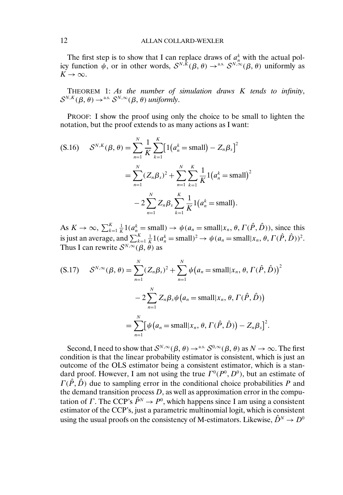The first step is to show that I can replace draws of  $a_n^k$  with the actual policy function  $\psi$ , or in other words,  $S^{N,\bar{K}}(\beta,\theta) \to$ <sup>a.s.</sup>  $S^{N,\infty}(\beta,\theta)$  uniformly as  $K \rightarrow \infty$ .

THEOREM 1: *As the number of simulation draws* K *tends to infinity*,  $\mathcal{S}^{N,K}(\beta,\theta) \rightarrow^{a.s.} \mathcal{S}^{N,\infty}(\beta,\theta)$  *uniformly*.

PROOF: I show the proof using only the choice to be small to lighten the notation, but the proof extends to as many actions as I want:

$$
\begin{aligned} \text{(S.16)} \quad & \mathcal{S}^{N,K}(\beta,\theta) = \sum_{n=1}^{N} \frac{1}{K} \sum_{k=1}^{K} \big[ 1\big(a_n^k = \text{small}\big) - Z_n \beta_s \big]^2 \\ & = \sum_{n=1}^{N} (Z_n \beta_s)^2 + \sum_{n=1}^{N} \sum_{k=1}^{K} \frac{1}{K} 1\big(a_n^k = \text{small}\big)^2 \\ &- 2 \sum_{n=1}^{N} Z_n \beta_s \sum_{k=1}^{K} \frac{1}{K} 1\big(a_n^k = \text{small}\big). \end{aligned}
$$

As  $K \to \infty$ ,  $\sum_{k=1}^{K} \frac{1}{K} 1(a_n^k = \text{small}) \to \psi(a_n = \text{small} | x_n, \theta, \Gamma(\hat{P}, \hat{D}))$ , since this is just an average, and  $\sum_{k=1}^{K} \frac{1}{K} 1(a_n^k = \text{small})^2 \to \psi(a_n = \text{small}|x_n, \theta, \Gamma(\hat{P}, \hat{D}))^2$ . Thus I can rewrite  $S^{N,\infty}(\beta, \theta)$  as

$$
\begin{aligned} \text{(S.17)} \quad \mathcal{S}^{N,\infty}(\beta,\theta) &= \sum_{n=1}^{N} (Z_n \beta_s)^2 + \sum_{n=1}^{N} \psi\big(a_n = \text{small} | x_n, \theta, \Gamma(\hat{P}, \hat{D})\big)^2 \\ &- 2 \sum_{n=1}^{N} Z_n \beta_s \psi\big(a_n = \text{small} | x_n, \theta, \Gamma(\hat{P}, \hat{D})\big) \\ &= \sum_{n=1}^{N} \big[\psi\big(a_n = \text{small} | x_n, \theta, \Gamma(\hat{P}, \hat{D})\big) - Z_n \beta_s\big]^2. \end{aligned}
$$

Second, I need to show that  $S^{N,\infty}(\beta, \theta) \to$ <sup>a.s.</sup>  $S^{0,\infty}(\beta, \theta)$  as  $N \to \infty$ . The first condition is that the linear probability estimator is consistent, which is just an outcome of the OLS estimator being a consistent estimator, which is a standard proof. However, I am not using the true  $\Gamma^0(P^0, D^0)$ , but an estimate of  $\Gamma(\hat{P}, \hat{D})$  due to sampling error in the conditional choice probabilities P and the demand transition process  $D$ , as well as approximation error in the computation of Γ. The CCP's  $\hat{P}^N \to P^0$ , which happens since I am using a consistent estimator of the CCP's, just a parametric multinomial logit, which is consistent using the usual proofs on the consistency of M-estimators. Likewise,  $\hat{D}^N \to D^0$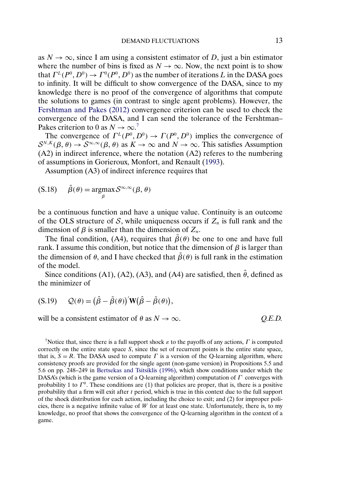<span id="page-12-0"></span>as  $N \to \infty$ , since I am using a consistent estimator of D, just a bin estimator where the number of bins is fixed as  $N \to \infty$ . Now, the next point is to show that  $\Gamma^L(P^0, D^0) \to \Gamma^0(P^0, D^0)$  as the number of iterations L in the DASA goes to infinity. It will be difficult to show convergence of the DASA, since to my knowledge there is no proof of the convergence of algorithms that compute the solutions to games (in contrast to single agent problems). However, the [Fershtman and Pakes \(2012\)](#page-15-0) convergence criterion can be used to check the convergence of the DASA, and I can send the tolerance of the Fershtman– Pakes criterion to 0 as  $N \to \infty$ .<sup>7</sup>

The convergence of  $\Gamma^L(P^0, D^0) \to \Gamma(P^0, D^0)$  implies the convergence of  $S^{N,K}(\beta, \theta) \to S^{\infty, \infty}(\beta, \theta)$  as  $K \to \infty$  and  $N \to \infty$ . This satisfies Assumption (A2) in indirect inference, where the notation (A2) referes to the numbering of assumptions in Gorieroux, Monfort, and Renault [\(1993\)](#page-15-0).

Assumption (A3) of indirect inference requires that

$$
(S.18) \qquad \tilde{\beta}(\theta) = \operatorname*{argmax}_{\beta} S^{\infty,\infty}(\beta,\theta)
$$

be a continuous function and have a unique value. Continuity is an outcome of the OLS structure of S, while uniqueness occurs if  $Z_n$  is full rank and the dimension of  $\beta$  is smaller than the dimension of  $Z_n$ .

The final condition, (A4), requires that  $\tilde{\beta}(\theta)$  be one to one and have full rank. I assume this condition, but notice that the dimension of  $\beta$  is larger than the dimension of  $\theta$ , and I have checked that  $\tilde{\beta}(\theta)$  is full rank in the estimation of the model.

Since conditions (A1), (A2), (A3), and (A4) are satisfied, then  $\hat{\theta}$ , defined as the minimizer of

$$
(S.19) \qquad \mathcal{Q}(\theta) = (\hat{\beta} - \tilde{\beta}(\theta))' W (\hat{\beta} - \tilde{\beta}(\theta)),
$$

will be a consistent estimator of  $\theta$  as  $N \to \infty$ . *Q.E.D.* 

<sup>7</sup>Notice that, since there is a full support shock  $\varepsilon$  to the payoffs of any actions,  $\Gamma$  is computed correctly on the entire state space S, since the set of recurrent points is the entire state space, that is,  $S = R$ . The DASA used to compute  $\Gamma$  is a version of the Q-learning algorithm, where consistency proofs are provided for the single agent (non-game version) in Propositions 5.5 and 5.6 on pp. 248–249 in [Bertsekas and Tsitsiklis \(1996\),](#page-15-0) which show conditions under which the DASA's (which is the game version of a Q-learning algorithm) computation of  $\Gamma$  converges with probability 1 to  $\Gamma^0$ . These conditions are (1) that policies are proper, that is, there is a positive probability that a firm will exit after  $t$  period, which is true in this context due to the full support of the shock distribution for each action, including the choice to exit; and (2) for improper policies, there is a negative infinite value of  $W$  for at least one state. Unfortunately, there is, to my knowledge, no proof that shows the convergence of the Q-learning algorithm in the context of a game.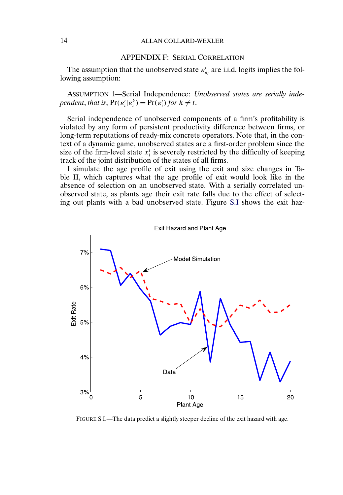# 14 ALLAN COLLARD-WEXLER

# APPENDIX F: SERIAL CORRELATION

The assumption that the unobserved state  $\varepsilon_{a_i}^t$  are i.i.d. logits implies the following assumption:

ASSUMPTION 1—Serial Independence: *Unobserved states are serially independent, that is,*  $Pr(\varepsilon_i^t | \varepsilon_i^k) = Pr(\varepsilon_i^t)$  *for*  $k \neq t$ *.* 

Serial independence of unobserved components of a firm's profitability is violated by any form of persistent productivity difference between firms, or long-term reputations of ready-mix concrete operators. Note that, in the context of a dynamic game, unobserved states are a first-order problem since the size of the firm-level state  $x_i^t$  is severely restricted by the difficulty of keeping track of the joint distribution of the states of all firms.

I simulate the age profile of exit using the exit and size changes in Table II, which captures what the age profile of exit would look like in the absence of selection on an unobserved state. With a serially correlated unobserved state, as plants age their exit rate falls due to the effect of selecting out plants with a bad unobserved state. Figure S.I shows the exit haz-



FIGURE S.I.—The data predict a slightly steeper decline of the exit hazard with age.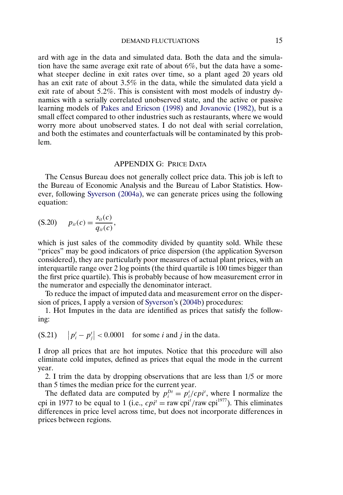<span id="page-14-0"></span>ard with age in the data and simulated data. Both the data and the simulation have the same average exit rate of about 6%, but the data have a somewhat steeper decline in exit rates over time, so a plant aged 20 years old has an exit rate of about 35% in the data, while the simulated data yield a exit rate of about 52%. This is consistent with most models of industry dynamics with a serially correlated unobserved state, and the active or passive learning models of [Pakes and Ericson \(1998\)](#page-15-0) and [Jovanovic \(1982\),](#page-15-0) but is a small effect compared to other industries such as restaurants, where we would worry more about unobserved states. I do not deal with serial correlation, and both the estimates and counterfactuals will be contaminated by this problem.

#### APPENDIX G: PRICE DATA

The Census Bureau does not generally collect price data. This job is left to the Bureau of Economic Analysis and the Bureau of Labor Statistics. However, following [Syverson \(2004a\),](#page-16-0) we can generate prices using the following equation:

$$
(S.20) \t p_{it}(c) = \frac{s_{it}(c)}{q_{it}(c)},
$$

which is just sales of the commodity divided by quantity sold. While these "prices" may be good indicators of price dispersion (the application Syverson considered), they are particularly poor measures of actual plant prices, with an interquartile range over 2 log points (the third quartile is 100 times bigger than the first price quartile). This is probably because of how measurement error in the numerator and especially the denominator interact.

To reduce the impact of imputed data and measurement error on the dispersion of prices, I apply a version of [Syverson'](#page-16-0)s [\(2004b\)](#page-16-0) procedures:

1. Hot Imputes in the data are identified as prices that satisfy the following:

(S.21)  $|p_i^t - p_j^t| < 0.0001$  for some *i* and *j* in the data.

I drop all prices that are hot imputes. Notice that this procedure will also eliminate cold imputes, defined as prices that equal the mode in the current year.

2. I trim the data by dropping observations that are less than 1/5 or more than 5 times the median price for the current year.

The deflated data are computed by  $p_i^{D_t} = p_i^t / c p_i^t$ , where I normalize the cpi in 1977 to be equal to 1 (i.e.,  $cpi^i = \text{raw cpi}^i / \text{raw cpi}^{1977}$ ). This eliminates differences in price level across time, but does not incorporate differences in prices between regions.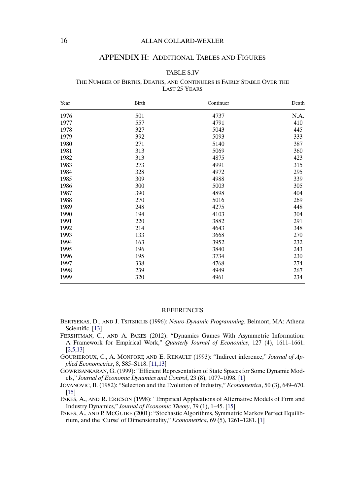# <span id="page-15-0"></span>16 ALLAN COLLARD-WEXLER

#### APPENDIX H: ADDITIONAL TABLES AND FIGURES

### TABLE S.IV

#### THE NUMBER OF BIRTHS, DEATHS, AND CONTINUERS IS FAIRLY STABLE OVER THE LAST 25 YEARS

| Year | Birth | Continuer | Death |  |
|------|-------|-----------|-------|--|
| 1976 | 501   | 4737      | N.A.  |  |
| 1977 | 557   | 4791      | 410   |  |
| 1978 | 327   | 5043      | 445   |  |
| 1979 | 392   | 5093      | 333   |  |
| 1980 | 271   | 5140      | 387   |  |
| 1981 | 313   | 5069      | 360   |  |
| 1982 | 313   | 4875      | 423   |  |
| 1983 | 273   | 4991      | 315   |  |
| 1984 | 328   | 4972      | 295   |  |
| 1985 | 309   | 4988      | 339   |  |
| 1986 | 300   | 5003      | 305   |  |
| 1987 | 390   | 4898      | 404   |  |
| 1988 | 270   | 5016      | 269   |  |
| 1989 | 248   | 4275      | 448   |  |
| 1990 | 194   | 4103      | 304   |  |
| 1991 | 220   | 3882      | 291   |  |
| 1992 | 214   | 4643      | 348   |  |
| 1993 | 133   | 3668      | 270   |  |
| 1994 | 163   | 3952      | 232   |  |
| 1995 | 196   | 3840      | 243   |  |
| 1996 | 195   | 3734      | 230   |  |
| 1997 | 338   | 4768      | 274   |  |
| 1998 | 239   | 4949      | 267   |  |
| 1999 | 320   | 4961      | 234   |  |

#### **REFERENCES**

- BERTSEKAS, D., AND J. TSITSIKLIS (1996): *Neuro-Dynamic Programming*. Belmont, MA: Athena Scientific. [\[13\]](#page-12-0)
- FERSHTMAN, C., AND A. PAKES (2012): "Dynamics Games With Asymmetric Information: A Framework for Empirical Work," *Quarterly Journal of Economics*, 127 (4), 1611–1661. [\[2](#page-1-0)[,5,](#page-4-0)[13\]](#page-12-0)
- GOURIEROUX, C., A. MONFORT, AND E. RENAULT (1993): "Indirect inference," *Journal of Applied Econometrics*, 8, S85–S118. [\[11,](#page-10-0)[13\]](#page-12-0)

GOWRISANKARAN, G. (1999): "Efficient Representation of State Spaces for Some Dynamic Models," *Journal of Economic Dynamics and Control*, 23 (8), 1077–1098. [\[1\]](#page-0-0)

- JOVANOVIC, B. (1982): "Selection and the Evolution of Industry," *Econometrica*, 50 (3), 649–670. [\[15\]](#page-14-0)
- PAKES, A., AND R. ERICSON (1998): "Empirical Applications of Alternative Models of Firm and Industry Dynamics," *Journal of Economic Theory*, 79 (1), 1–45. [\[15\]](#page-14-0)
- PAKES, A., AND P. MCGUIRE (2001): "Stochastic Algorithms, Symmetric Markov Perfect Equilibrium, and the 'Curse' of Dimensionality," *Econometrica*, 69 (5), 1261–1281. [\[1\]](#page-0-0)